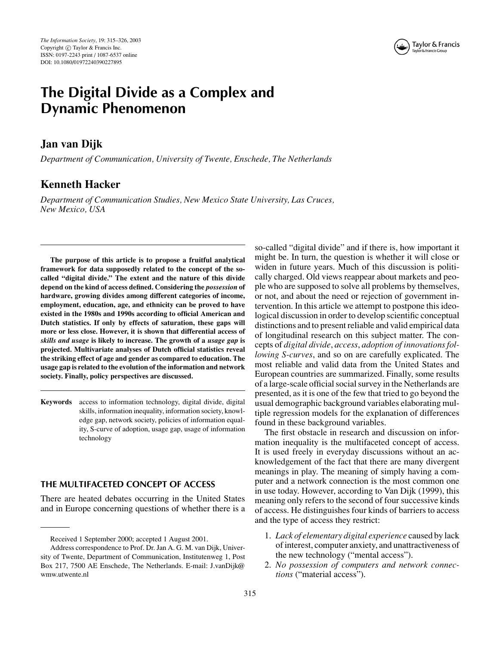

# **The Digital Divide as a Complex and Dynamic Phenomenon**

## **Jan van Dijk**

*Department of Communication, University of Twente, Enschede, The Netherlands*

# **Kenneth Hacker**

*Department of Communication Studies, New Mexico State University, Las Cruces, New Mexico, USA*

**The purpose of this article is to propose a fruitful analytical framework for data supposedly related to the concept of the socalled "digital divide." The extent and the nature of this divide depend on the kind of access defined. Considering the** *possession* **of hardware, growing divides among different categories of income, employment, education, age, and ethnicity can be proved to have existed in the 1980s and 1990s according to official American and Dutch statistics. If only by effects of saturation, these gaps will more or less close. However, it is shown that differential access of** *skills and usage* **is likely to increase. The growth of a** *usage gap* **is projected. Multivariate analyses of Dutch official statistics reveal the striking effect of age and gender as compared to education. The usage gap is related to the evolution of the information and network society. Finally, policy perspectives are discussed.**

**Keywords** access to information technology, digital divide, digital skills, information inequality, information society, knowledge gap, network society, policies of information equality, S-curve of adoption, usage gap, usage of information technology

### **THE MULTIFACETED CONCEPT OF ACCESS**

There are heated debates occurring in the United States and in Europe concerning questions of whether there is a so-called "digital divide" and if there is, how important it might be. In turn, the question is whether it will close or widen in future years. Much of this discussion is politically charged. Old views reappear about markets and people who are supposed to solve all problems by themselves, or not, and about the need or rejection of government intervention. In this article we attempt to postpone this ideological discussion in order to develop scientific conceptual distinctions and to present reliable and valid empirical data of longitudinal research on this subject matter. The concepts of *digital divide*, *access*, *adoption of innovations following S-curves*, and so on are carefully explicated. The most reliable and valid data from the United States and European countries are summarized. Finally, some results of a large-scale official social survey in the Netherlands are presented, as it is one of the few that tried to go beyond the usual demographic background variables elaborating multiple regression models for the explanation of differences found in these background variables.

The first obstacle in research and discussion on information inequality is the multifaceted concept of access. It is used freely in everyday discussions without an acknowledgement of the fact that there are many divergent meanings in play. The meaning of simply having a computer and a network connection is the most common one in use today. However, according to Van Dijk (1999), this meaning only refers to the second of four successive kinds of access. He distinguishes four kinds of barriers to access and the type of access they restrict:

- 1. *Lack of elementary digital experience* caused by lack of interest, computer anxiety, and unattractiveness of the new technology ("mental access").
- 2. *No possession of computers and network connections* ("material access").

Received 1 September 2000; accepted 1 August 2001.

Address correspondence to Prof. Dr. Jan A. G. M. van Dijk, University of Twente, Department of Communication, Institutenweg 1, Post Box 217, 7500 AE Enschede, The Netherlands. E-mail: J.vanDijk@ wmw.utwente.nl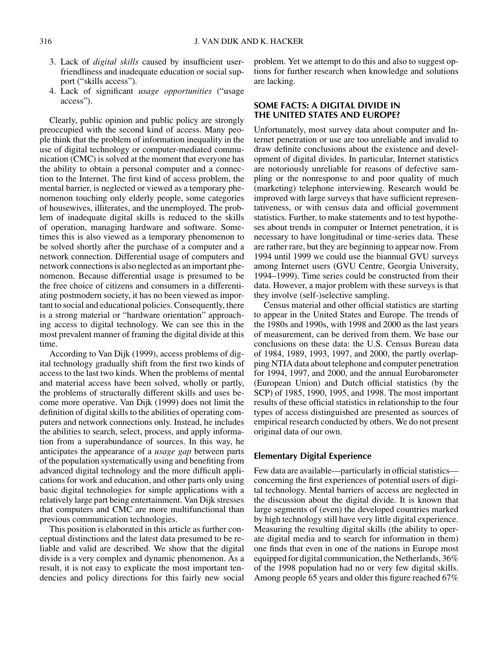- 3. Lack of *digital skills* caused by insufficient userfriendliness and inadequate education or social support ("skills access").
- 4. Lack of significant *usage opportunities* ("usage access").

Clearly, public opinion and public policy are strongly preoccupied with the second kind of access. Many people think that the problem of information inequality in the use of digital technology or computer-mediated communication (CMC) is solved at the moment that everyone has the ability to obtain a personal computer and a connection to the Internet. The first kind of access problem, the mental barrier, is neglected or viewed as a temporary phenomenon touching only elderly people, some categories of housewives, illiterates, and the unemployed. The problem of inadequate digital skills is reduced to the skills of operation, managing hardware and software. Sometimes this is also viewed as a temporary phenomenon to be solved shortly after the purchase of a computer and a network connection. Differential usage of computers and network connections is also neglected as an important phenomenon. Because differential usage is presumed to be the free choice of citizens and consumers in a differentiating postmodern society, it has no been viewed as important to social and educational policies. Consequently, there is a strong material or "hardware orientation" approaching access to digital technology. We can see this in the most prevalent manner of framing the digital divide at this time.

According to Van Dijk (1999), access problems of digital technology gradually shift from the first two kinds of access to the last two kinds. When the problems of mental and material access have been solved, wholly or partly, the problems of structurally different skills and uses become more operative. Van Dijk (1999) does not limit the definition of digital skills to the abilities of operating computers and network connections only. Instead, he includes the abilities to search, select, process, and apply information from a superabundance of sources. In this way, he anticipates the appearance of a *usage gap* between parts of the population systematically using and benefiting from advanced digital technology and the more difficult applications for work and education, and other parts only using basic digital technologies for simple applications with a relatively large part being entertainment. Van Dijk stresses that computers and CMC are more multifunctional than previous communication technologies.

This position is elaborated in this article as further conceptual distinctions and the latest data presumed to be reliable and valid are described. We show that the digital divide is a very complex and dynamic phenomenon. As a result, it is not easy to explicate the most important tendencies and policy directions for this fairly new social

problem. Yet we attempt to do this and also to suggest options for further research when knowledge and solutions are lacking.

### **SOME FACTS: A DIGITAL DIVIDE IN THE UNITED STATES AND EUROPE?**

Unfortunately, most survey data about computer and Internet penetration or use are too unreliable and invalid to draw definite conclusions about the existence and development of digital divides. In particular, Internet statistics are notoriously unreliable for reasons of defective sampling or the nonresponse to and poor quality of much (marketing) telephone interviewing. Research would be improved with large surveys that have sufficient representativeness, or with census data and official government statistics. Further, to make statements and to test hypotheses about trends in computer or Internet penetration, it is necessary to have longitudinal or time-series data. These are rather rare, but they are beginning to appear now. From 1994 until 1999 we could use the biannual GVU surveys among Internet users (GVU Centre, Georgia University, 1994–1999). Time series could be constructed from their data. However, a major problem with these surveys is that they involve (self-)selective sampling.

Census material and other official statistics are starting to appear in the United States and Europe. The trends of the 1980s and 1990s, with 1998 and 2000 as the last years of measurement, can be derived from them. We base our conclusions on these data: the U.S. Census Bureau data of 1984, 1989, 1993, 1997, and 2000, the partly overlapping NTIA data about telephone and computer penetration for 1994, 1997, and 2000, and the annual Eurobarometer (European Union) and Dutch official statistics (by the SCP) of 1985, 1990, 1995, and 1998. The most important results of these official statistics in relationship to the four types of access distinguished are presented as sources of empirical research conducted by others. We do not present original data of our own.

### **Elementary Digital Experience**

Few data are available—particularly in official statistics concerning the first experiences of potential users of digital technology. Mental barriers of access are neglected in the discussion about the digital divide. It is known that large segments of (even) the developed countries marked by high technology still have very little digital experience. Measuring the resulting digital skills (the ability to operate digital media and to search for information in them) one finds that even in one of the nations in Europe most equipped for digital communication, the Netherlands, 36% of the 1998 population had no or very few digital skills. Among people 65 years and older this figure reached 67%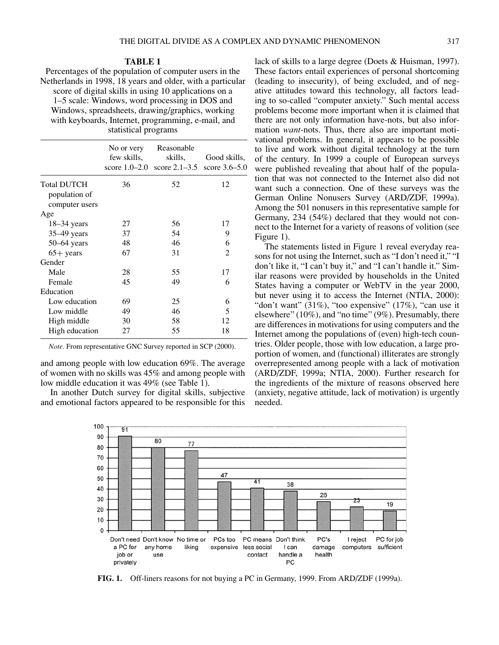### **TABLE 1**

Percentages of the population of computer users in the Netherlands in 1998, 18 years and older, with a particular score of digital skills in using 10 applications on a 1–5 scale: Windows, word processing in DOS and Windows, spreadsheets, drawing/graphics, working with keyboards, Internet, programming, e-mail, and statistical programs

|                                                       | No or very<br>few skills, | Reasonable<br>skills,<br>score $1.0-2.0$ score $2.1-3.5$ score $3.6-5.0$ | Good skills,   |  |
|-------------------------------------------------------|---------------------------|--------------------------------------------------------------------------|----------------|--|
| <b>Total DUTCH</b><br>population of<br>computer users | 36                        | 52                                                                       | 12             |  |
| Age                                                   |                           |                                                                          |                |  |
| $18-34$ years                                         | 27                        | 56                                                                       | 17             |  |
| $35-49$ years                                         | 37                        | 54                                                                       | 9              |  |
| $50-64$ years                                         | 48                        | 46                                                                       | 6              |  |
| $65+$ years                                           | 67                        | 31                                                                       | $\overline{c}$ |  |
| Gender                                                |                           |                                                                          |                |  |
| Male                                                  | 28                        | 55                                                                       | 17             |  |
| Female                                                | 45                        | 49                                                                       | 6              |  |
| Education                                             |                           |                                                                          |                |  |
| Low education                                         | 69                        | 25                                                                       | 6              |  |
| Low middle                                            | 49                        | 46                                                                       | 5              |  |
| High middle                                           | 30                        | 58                                                                       | 12             |  |
| High education                                        | 27                        | 55                                                                       | 18             |  |

*Note.* From representative GNC Survey reported in SCP (2000).

and among people with low education 69%. The average of women with no skills was 45% and among people with low middle education it was 49% (see Table 1).

In another Dutch survey for digital skills, subjective and emotional factors appeared to be responsible for this

lack of skills to a large degree (Doets & Huisman, 1997). These factors entail experiences of personal shortcoming (leading to insecurity), of being excluded, and of negative attitudes toward this technology, all factors leading to so-called "computer anxiety." Such mental access problems become more important when it is claimed that there are not only information have-nots, but also information *want*-nots. Thus, there also are important motivational problems. In general, it appears to be possible to live and work without digital technology at the turn of the century. In 1999 a couple of European surveys were published revealing that about half of the population that was not connected to the Internet also did not want such a connection. One of these surveys was the German Online Nonusers Survey (ARD/ZDF, 1999a). Among the 501 nonusers in this representative sample for Germany, 234 (54%) declared that they would not connect to the Internet for a variety of reasons of volition (see Figure 1).

The statements listed in Figure 1 reveal everyday reasons for not using the Internet, such as "I don't need it," "I don't like it, "I can't buy it," and "I can't handle it." Similar reasons were provided by households in the United States having a computer or WebTV in the year 2000, but never using it to access the Internet (NTIA, 2000): "don't want"  $(31\%)$ , "too expensive"  $(17\%)$ , "can use it elsewhere" (10%), and "no time" (9%). Presumably, there are differences in motivations for using computers and the Internet among the populations of (even) high-tech countries. Older people, those with low education, a large proportion of women, and (functional) illiterates are strongly overrepresented among people with a lack of motivation (ARD/ZDF, 1999a; NTIA, 2000). Further research for the ingredients of the mixture of reasons observed here (anxiety, negative attitude, lack of motivation) is urgently needed.



**FIG. 1.** Off-liners reasons for not buying a PC in Germany, 1999. From ARD/ZDF (1999a).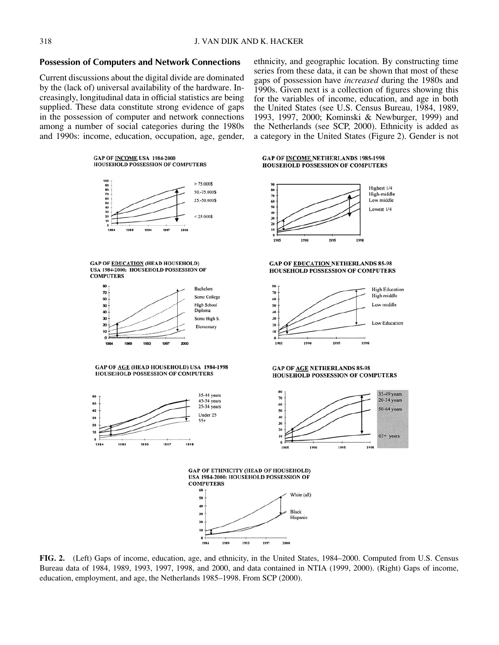### **Possession of Computers and Network Connections**

Current discussions about the digital divide are dominated by the (lack of) universal availability of the hardware. Increasingly, longitudinal data in official statistics are being supplied. These data constitute strong evidence of gaps in the possession of computer and network connections among a number of social categories during the 1980s and 1990s: income, education, occupation, age, gender,

ethnicity, and geographic location. By constructing time series from these data, it can be shown that most of these gaps of possession have *increased* during the 1980s and 1990s. Given next is a collection of figures showing this for the variables of income, education, and age in both the United States (see U.S. Census Bureau, 1984, 1989, 1993, 1997, 2000; Kominski & Newburger, 1999) and the Netherlands (see SCP, 2000). Ethnicity is added as a category in the United States (Figure 2). Gender is not

#### GAP OF INCOME USA 1984-2000 **HOUSEHOLD POSSESSION OF COMPUTERS**



**GAP OF EDUCATION (HEAD HOUSEHOLD)** USA 1984-2000: HOUSEHOLD POSSESSION OF **COMPUTERS** 







#### **GAP OF INCOME NETHERLANDS 1985-1998** HOUSEHOLD POSSESSION OF COMPUTERS



**GAP OF ETHNICITY (HEAD OF HOUSEHOLD)** USA 1984-2000: HOUSEHOLD POSSESSION OF **COMPUTERS** 



**FIG. 2.** (Left) Gaps of income, education, age, and ethnicity, in the United States, 1984–2000. Computed from U.S. Census Bureau data of 1984, 1989, 1993, 1997, 1998, and 2000, and data contained in NTIA (1999, 2000). (Right) Gaps of income, education, employment, and age, the Netherlands 1985–1998. From SCP (2000).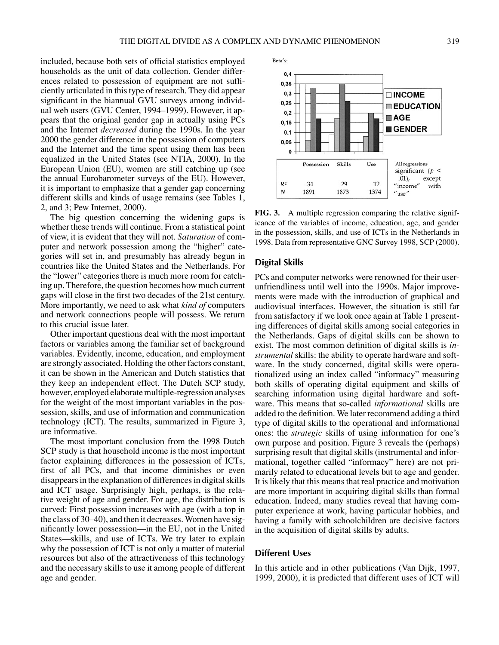included, because both sets of official statistics employed households as the unit of data collection. Gender differences related to possession of equipment are not sufficiently articulated in this type of research. They did appear significant in the biannual GVU surveys among individual web users (GVU Center, 1994–1999). However, it appears that the original gender gap in actually using PCs and the Internet *decreased* during the 1990s. In the year 2000 the gender difference in the possession of computers and the Internet and the time spent using them has been equalized in the United States (see NTIA, 2000). In the European Union (EU), women are still catching up (see the annual Eurobarometer surveys of the EU). However, it is important to emphasize that a gender gap concerning different skills and kinds of usage remains (see Tables 1, 2, and 3; Pew Internet, 2000).

The big question concerning the widening gaps is whether these trends will continue. From a statistical point of view, it is evident that they will not. *Saturation* of computer and network possession among the "higher" categories will set in, and presumably has already begun in countries like the United States and the Netherlands. For the "lower" categories there is much more room for catching up. Therefore, the question becomes how much current gaps will close in the first two decades of the 21st century. More importantly, we need to ask what *kind of* computers and network connections people will possess. We return to this crucial issue later.

Other important questions deal with the most important factors or variables among the familiar set of background variables. Evidently, income, education, and employment are strongly associated. Holding the other factors constant, it can be shown in the American and Dutch statistics that they keep an independent effect. The Dutch SCP study, however, employed elaborate multiple-regression analyses for the weight of the most important variables in the possession, skills, and use of information and communication technology (ICT). The results, summarized in Figure 3, are informative.

The most important conclusion from the 1998 Dutch SCP study is that household income is the most important factor explaining differences in the possession of ICTs, first of all PCs, and that income diminishes or even disappears in the explanation of differences in digital skills and ICT usage. Surprisingly high, perhaps, is the relative weight of age and gender. For age, the distribution is curved: First possession increases with age (with a top in the class of 30–40), and then it decreases. Women have significantly lower possession—in the EU, not in the United States—skills, and use of ICTs. We try later to explain why the possession of ICT is not only a matter of material resources but also of the attractiveness of this technology and the necessary skills to use it among people of different age and gender.



**FIG. 3.** A multiple regression comparing the relative significance of the variables of income, education, age, and gender in the possession, skills, and use of ICTs in the Netherlands in 1998. Data from representative GNC Survey 1998, SCP (2000).

### **Digital Skills**

PCs and computer networks were renowned for their userunfriendliness until well into the 1990s. Major improvements were made with the introduction of graphical and audiovisual interfaces. However, the situation is still far from satisfactory if we look once again at Table 1 presenting differences of digital skills among social categories in the Netherlands. Gaps of digital skills can be shown to exist. The most common definition of digital skills is *instrumental* skills: the ability to operate hardware and software. In the study concerned, digital skills were operationalized using an index called "informacy" measuring both skills of operating digital equipment and skills of searching information using digital hardware and software. This means that so-called *informational* skills are added to the definition. We later recommend adding a third type of digital skills to the operational and informational ones: the *strategic* skills of using information for one's own purpose and position. Figure 3 reveals the (perhaps) surprising result that digital skills (instrumental and informational, together called "informacy" here) are not primarily related to educational levels but to age and gender. It is likely that this means that real practice and motivation are more important in acquiring digital skills than formal education. Indeed, many studies reveal that having computer experience at work, having particular hobbies, and having a family with schoolchildren are decisive factors in the acquisition of digital skills by adults.

### **Different Uses**

In this article and in other publications (Van Dijk, 1997, 1999, 2000), it is predicted that different uses of ICT will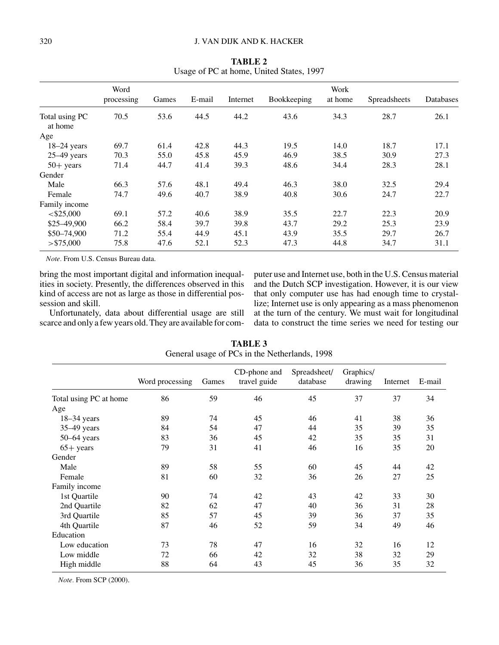### 320 J. VAN DIJK AND K. HACKER

|                           | Word       |       |        |          |             | Work    |              |           |
|---------------------------|------------|-------|--------|----------|-------------|---------|--------------|-----------|
|                           | processing | Games | E-mail | Internet | Bookkeeping | at home | Spreadsheets | Databases |
| Total using PC<br>at home | 70.5       | 53.6  | 44.5   | 44.2     | 43.6        | 34.3    | 28.7         | 26.1      |
| Age                       |            |       |        |          |             |         |              |           |
| $18-24$ years             | 69.7       | 61.4  | 42.8   | 44.3     | 19.5        | 14.0    | 18.7         | 17.1      |
| $25-49$ years             | 70.3       | 55.0  | 45.8   | 45.9     | 46.9        | 38.5    | 30.9         | 27.3      |
| $50+$ years               | 71.4       | 44.7  | 41.4   | 39.3     | 48.6        | 34.4    | 28.3         | 28.1      |
| Gender                    |            |       |        |          |             |         |              |           |
| Male                      | 66.3       | 57.6  | 48.1   | 49.4     | 46.3        | 38.0    | 32.5         | 29.4      |
| Female                    | 74.7       | 49.6  | 40.7   | 38.9     | 40.8        | 30.6    | 24.7         | 22.7      |
| Family income             |            |       |        |          |             |         |              |           |
| $<$ \$25,000              | 69.1       | 57.2  | 40.6   | 38.9     | 35.5        | 22.7    | 22.3         | 20.9      |
| $$25 - 49,900$            | 66.2       | 58.4  | 39.7   | 39.8     | 43.7        | 29.2    | 25.3         | 23.9      |
| $$50-74,900$              | 71.2       | 55.4  | 44.9   | 45.1     | 43.9        | 35.5    | 29.7         | 26.7      |
| > \$75,000                | 75.8       | 47.6  | 52.1   | 52.3     | 47.3        | 44.8    | 34.7         | 31.1      |

**TABLE 2** Usage of PC at home, United States, 1997

*Note.* From U.S. Census Bureau data.

bring the most important digital and information inequalities in society. Presently, the differences observed in this kind of access are not as large as those in differential possession and skill.

Unfortunately, data about differential usage are still scarce and only a few years old. They are available for computer use and Internet use, both in the U.S. Census material and the Dutch SCP investigation. However, it is our view that only computer use has had enough time to crystallize; Internet use is only appearing as a mass phenomenon at the turn of the century. We must wait for longitudinal data to construct the time series we need for testing our

General usage of PCs in the Netherlands, 1998 CD-phone and Spreadsheet/ Graphics/ Word processing Games travel guide database drawing Internet E-mail Total using PC at home 86 59 46 45 37 37 34 Age 18–34 years 89 74 45 46 41 38 36 35–49 years 84 54 47 44 35 39 35 50–64 years 83 36 45 42 35 35 31 65+ years 79 31 41 46 16 35 20 Gender Male 89 58 55 60 45 44 42 Female 81 81 60 32 36 26 27 25 Family income 1st Quartile **90** 74 42 43 42 33 30 2nd Quartile 82 62 47 40 36 31 28 3rd Quartile **85** 57 45 39 36 37 35 4th Quartile **87** 46 52 59 34 49 46 Education Low education  $\begin{array}{ccccccc} 73 & 78 & 47 & 16 & 32 & 16 & 12 \end{array}$ Low middle  $\begin{array}{cccc} 72 & 66 & 42 & 32 & 38 & 32 & 29 \end{array}$ High middle 88 64 43 45 36 35 32

**TABLE 3**

*Note.* From SCP (2000).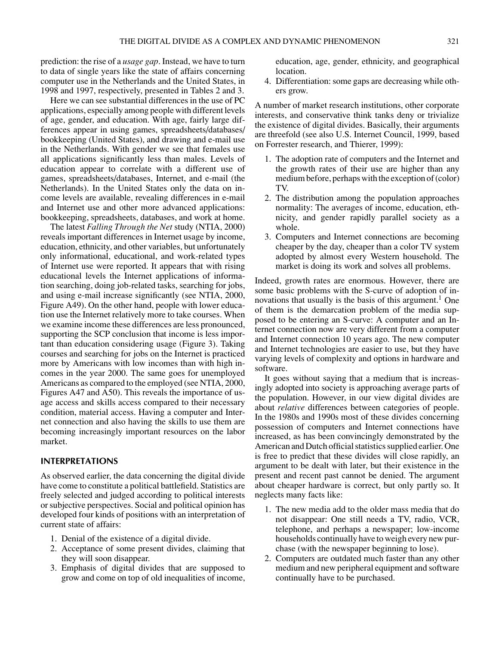prediction: the rise of a *usage gap*. Instead, we have to turn to data of single years like the state of affairs concerning computer use in the Netherlands and the United States, in 1998 and 1997, respectively, presented in Tables 2 and 3.

Here we can see substantial differences in the use of PC applications, especially among people with different levels of age, gender, and education. With age, fairly large differences appear in using games, spreadsheets/databases/ bookkeeping (United States), and drawing and e-mail use in the Netherlands. With gender we see that females use all applications significantly less than males. Levels of education appear to correlate with a different use of games, spreadsheets/databases, Internet, and e-mail (the Netherlands). In the United States only the data on income levels are available, revealing differences in e-mail and Internet use and other more advanced applications: bookkeeping, spreadsheets, databases, and work at home.

The latest *Falling Through the Net* study (NTIA, 2000) reveals important differences in Internet usage by income, education, ethnicity, and other variables, but unfortunately only informational, educational, and work-related types of Internet use were reported. It appears that with rising educational levels the Internet applications of information searching, doing job-related tasks, searching for jobs, and using e-mail increase significantly (see NTIA, 2000, Figure A49). On the other hand, people with lower education use the Internet relatively more to take courses. When we examine income these differences are less pronounced, supporting the SCP conclusion that income is less important than education considering usage (Figure 3). Taking courses and searching for jobs on the Internet is practiced more by Americans with low incomes than with high incomes in the year 2000. The same goes for unemployed Americans as compared to the employed (see NTIA, 2000, Figures A47 and A50). This reveals the importance of usage access and skills access compared to their necessary condition, material access. Having a computer and Internet connection and also having the skills to use them are becoming increasingly important resources on the labor market.

### **INTERPRETATIONS**

As observed earlier, the data concerning the digital divide have come to constitute a political battlefield. Statistics are freely selected and judged according to political interests or subjective perspectives. Social and political opinion has developed four kinds of positions with an interpretation of current state of affairs:

- 1. Denial of the existence of a digital divide.
- 2. Acceptance of some present divides, claiming that they will soon disappear.
- 3. Emphasis of digital divides that are supposed to grow and come on top of old inequalities of income,

education, age, gender, ethnicity, and geographical location.

4. Differentiation: some gaps are decreasing while others grow.

A number of market research institutions, other corporate interests, and conservative think tanks deny or trivialize the existence of digital divides. Basically, their arguments are threefold (see also U.S. Internet Council, 1999, based on Forrester research, and Thierer, 1999):

- 1. The adoption rate of computers and the Internet and the growth rates of their use are higher than any medium before, perhaps with the exception of (color) TV.
- 2. The distribution among the population approaches normality: The averages of income, education, ethnicity, and gender rapidly parallel society as a whole.
- 3. Computers and Internet connections are becoming cheaper by the day, cheaper than a color TV system adopted by almost every Western household. The market is doing its work and solves all problems.

Indeed, growth rates are enormous. However, there are some basic problems with the S-curve of adoption of innovations that usually is the basis of this argument.<sup>1</sup> One of them is the demarcation problem of the media supposed to be entering an S-curve: A computer and an Internet connection now are very different from a computer and Internet connection 10 years ago. The new computer and Internet technologies are easier to use, but they have varying levels of complexity and options in hardware and software.

It goes without saying that a medium that is increasingly adopted into society is approaching average parts of the population. However, in our view digital divides are about *relative* differences between categories of people. In the 1980s and 1990s most of these divides concerning possession of computers and Internet connections have increased, as has been convincingly demonstrated by the American and Dutch official statistics supplied earlier. One is free to predict that these divides will close rapidly, an argument to be dealt with later, but their existence in the present and recent past cannot be denied. The argument about cheaper hardware is correct, but only partly so. It neglects many facts like:

- 1. The new media add to the older mass media that do not disappear: One still needs a TV, radio, VCR, telephone, and perhaps a newspaper; low-income households continually have to weigh every new purchase (with the newspaper beginning to lose).
- 2. Computers are outdated much faster than any other medium and new peripheral equipment and software continually have to be purchased.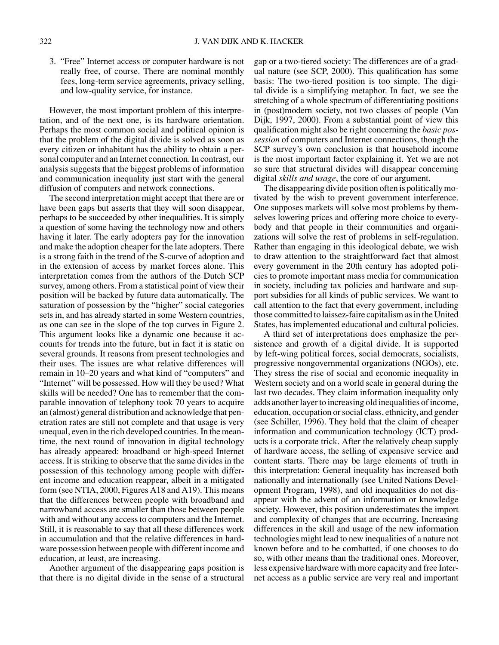3. "Free" Internet access or computer hardware is not really free, of course. There are nominal monthly fees, long-term service agreements, privacy selling, and low-quality service, for instance.

However, the most important problem of this interpretation, and of the next one, is its hardware orientation. Perhaps the most common social and political opinion is that the problem of the digital divide is solved as soon as every citizen or inhabitant has the ability to obtain a personal computer and an Internet connection. In contrast, our analysis suggests that the biggest problems of information and communication inequality just start with the general diffusion of computers and network connections.

The second interpretation might accept that there are or have been gaps but asserts that they will soon disappear, perhaps to be succeeded by other inequalities. It is simply a question of some having the technology now and others having it later. The early adopters pay for the innovation and make the adoption cheaper for the late adopters. There is a strong faith in the trend of the S-curve of adoption and in the extension of access by market forces alone. This interpretation comes from the authors of the Dutch SCP survey, among others. From a statistical point of view their position will be backed by future data automatically. The saturation of possession by the "higher" social categories sets in, and has already started in some Western countries, as one can see in the slope of the top curves in Figure 2. This argument looks like a dynamic one because it accounts for trends into the future, but in fact it is static on several grounds. It reasons from present technologies and their uses. The issues are what relative differences will remain in 10–20 years and what kind of "computers" and "Internet" will be possessed. How will they be used? What skills will be needed? One has to remember that the comparable innovation of telephony took 70 years to acquire an (almost) general distribution and acknowledge that penetration rates are still not complete and that usage is very unequal, even in the rich developed countries. In the meantime, the next round of innovation in digital technology has already appeared: broadband or high-speed Internet access. It is striking to observe that the same divides in the possession of this technology among people with different income and education reappear, albeit in a mitigated form (see NTIA, 2000, Figures A18 and A19). This means that the differences between people with broadband and narrowband access are smaller than those between people with and without any access to computers and the Internet. Still, it is reasonable to say that all these differences work in accumulation and that the relative differences in hardware possession between people with different income and education, at least, are increasing.

Another argument of the disappearing gaps position is that there is no digital divide in the sense of a structural

gap or a two-tiered society: The differences are of a gradual nature (see SCP, 2000). This qualification has some basis: The two-tiered position is too simple. The digital divide is a simplifying metaphor. In fact, we see the stretching of a whole spectrum of differentiating positions in (post)modern society, not two classes of people (Van Dijk, 1997, 2000). From a substantial point of view this qualification might also be right concerning the *basic possession* of computers and Internet connections, though the SCP survey's own conclusion is that household income is the most important factor explaining it. Yet we are not so sure that structural divides will disappear concerning digital *skills and usage*, the core of our argument.

The disappearing divide position often is politically motivated by the wish to prevent government interference. One supposes markets will solve most problems by themselves lowering prices and offering more choice to everybody and that people in their communities and organizations will solve the rest of problems in self-regulation. Rather than engaging in this ideological debate, we wish to draw attention to the straightforward fact that almost every government in the 20th century has adopted policies to promote important mass media for communication in society, including tax policies and hardware and support subsidies for all kinds of public services. We want to call attention to the fact that every government, including those committed to laissez-faire capitalism as in the United States, has implemented educational and cultural policies.

A third set of interpretations does emphasize the persistence and growth of a digital divide. It is supported by left-wing political forces, social democrats, socialists, progressive nongovernmental organizations (NGOs), etc. They stress the rise of social and economic inequality in Western society and on a world scale in general during the last two decades. They claim information inequality only adds another layer to increasing old inequalities of income, education, occupation or social class, ethnicity, and gender (see Schiller, 1996). They hold that the claim of cheaper information and communication technology (ICT) products is a corporate trick. After the relatively cheap supply of hardware access, the selling of expensive service and content starts. There may be large elements of truth in this interpretation: General inequality has increased both nationally and internationally (see United Nations Development Program, 1998), and old inequalities do not disappear with the advent of an information or knowledge society. However, this position underestimates the import and complexity of changes that are occurring. Increasing differences in the skill and usage of the new information technologies might lead to new inequalities of a nature not known before and to be combatted, if one chooses to do so, with other means than the traditional ones. Moreover, less expensive hardware with more capacity and free Internet access as a public service are very real and important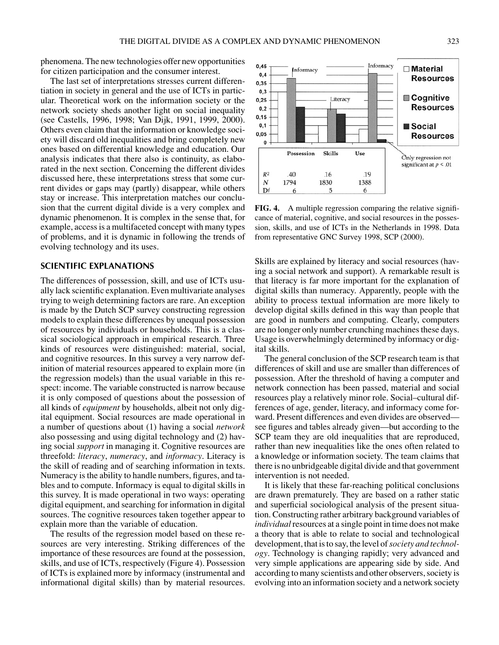phenomena. The new technologies offer new opportunities for citizen participation and the consumer interest.

The last set of interpretations stresses current differentiation in society in general and the use of ICTs in particular. Theoretical work on the information society or the network society sheds another light on social inequality (see Castells, 1996, 1998; Van Dijk, 1991, 1999, 2000). Others even claim that the information or knowledge society will discard old inequalities and bring completely new ones based on differential knowledge and education. Our analysis indicates that there also is continuity, as elaborated in the next section. Concerning the different divides discussed here, these interpretations stress that some current divides or gaps may (partly) disappear, while others stay or increase. This interpretation matches our conclusion that the current digital divide is a very complex and dynamic phenomenon. It is complex in the sense that, for example, access is a multifaceted concept with many types of problems, and it is dynamic in following the trends of evolving technology and its uses.

### **SCIENTIFIC EXPLANATIONS**

The differences of possession, skill, and use of ICTs usually lack scientific explanation. Even multivariate analyses trying to weigh determining factors are rare. An exception is made by the Dutch SCP survey constructing regression models to explain these differences by unequal possession of resources by individuals or households. This is a classical sociological approach in empirical research. Three kinds of resources were distinguished: material, social, and cognitive resources. In this survey a very narrow definition of material resources appeared to explain more (in the regression models) than the usual variable in this respect: income. The variable constructed is narrow because it is only composed of questions about the possession of all kinds of *equipment* by households, albeit not only digital equipment. Social resources are made operational in a number of questions about (1) having a social *network* also possessing and using digital technology and (2) having social *support* in managing it. Cognitive resources are threefold: *literacy*, *numeracy*, and *informacy*. Literacy is the skill of reading and of searching information in texts. Numeracy is the ability to handle numbers, figures, and tables and to compute. Informacy is equal to digital skills in this survey. It is made operational in two ways: operating digital equipment, and searching for information in digital sources. The cognitive resources taken together appear to explain more than the variable of education.

The results of the regression model based on these resources are very interesting. Striking differences of the importance of these resources are found at the possession, skills, and use of ICTs, respectively (Figure 4). Possession of ICTs is explained more by informacy (instrumental and informational digital skills) than by material resources.



**FIG. 4.** A multiple regression comparing the relative significance of material, cognitive, and social resources in the possession, skills, and use of ICTs in the Netherlands in 1998. Data from representative GNC Survey 1998, SCP (2000).

Skills are explained by literacy and social resources (having a social network and support). A remarkable result is that literacy is far more important for the explanation of digital skills than numeracy. Apparently, people with the ability to process textual information are more likely to develop digital skills defined in this way than people that are good in numbers and computing. Clearly, computers are no longer only number crunching machines these days. Usage is overwhelmingly determined by informacy or digital skills.

The general conclusion of the SCP research team is that differences of skill and use are smaller than differences of possession. After the threshold of having a computer and network connection has been passed, material and social resources play a relatively minor role. Social–cultural differences of age, gender, literacy, and informacy come forward. Present differences and even divides are observed see figures and tables already given—but according to the SCP team they are old inequalities that are reproduced, rather than new inequalities like the ones often related to a knowledge or information society. The team claims that there is no unbridgeable digital divide and that government intervention is not needed.

It is likely that these far-reaching political conclusions are drawn prematurely. They are based on a rather static and superficial sociological analysis of the present situation. Constructing rather arbitrary background variables of *individual* resources at a single point in time does not make a theory that is able to relate to social and technological development, that is to say, the level of*society and technology*. Technology is changing rapidly; very advanced and very simple applications are appearing side by side. And according to many scientists and other observers, society is evolving into an information society and a network society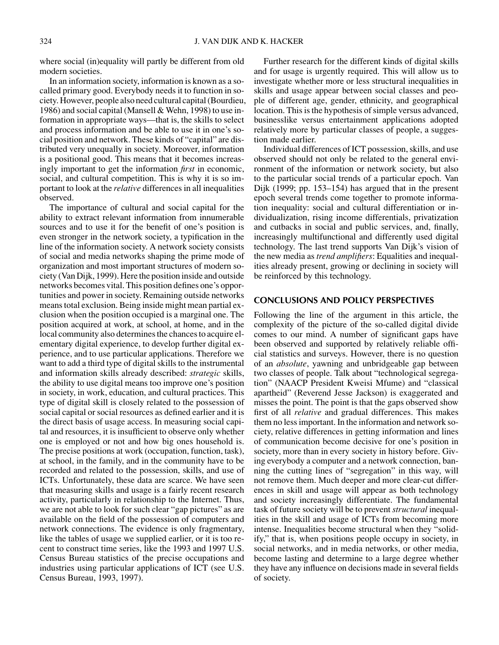where social (in)equality will partly be different from old modern societies.

In an information society, information is known as a socalled primary good. Everybody needs it to function in society. However, people also need cultural capital (Bourdieu, 1986) and social capital (Mansell & Wehn, 1998) to use information in appropriate ways—that is, the skills to select and process information and be able to use it in one's social position and network. These kinds of "capital" are distributed very unequally in society. Moreover, information is a positional good. This means that it becomes increasingly important to get the information *first* in economic, social, and cultural competition. This is why it is so important to look at the *relative* differences in all inequalities observed.

The importance of cultural and social capital for the ability to extract relevant information from innumerable sources and to use it for the benefit of one's position is even stronger in the network society, a typification in the line of the information society. A network society consists of social and media networks shaping the prime mode of organization and most important structures of modern society (Van Dijk, 1999). Here the position inside and outside networks becomes vital. This position defines one's opportunities and power in society. Remaining outside networks means total exclusion. Being inside might mean partial exclusion when the position occupied is a marginal one. The position acquired at work, at school, at home, and in the local community also determines the chances to acquire elementary digital experience, to develop further digital experience, and to use particular applications. Therefore we want to add a third type of digital skills to the instrumental and information skills already described: *strategic* skills, the ability to use digital means too improve one's position in society, in work, education, and cultural practices. This type of digital skill is closely related to the possession of social capital or social resources as defined earlier and it is the direct basis of usage access. In measuring social capital and resources, it is insufficient to observe only whether one is employed or not and how big ones household is. The precise positions at work (occupation, function, task), at school, in the family, and in the community have to be recorded and related to the possession, skills, and use of ICTs. Unfortunately, these data are scarce. We have seen that measuring skills and usage is a fairly recent research activity, particularly in relationship to the Internet. Thus, we are not able to look for such clear "gap pictures" as are available on the field of the possession of computers and network connections. The evidence is only fragmentary, like the tables of usage we supplied earlier, or it is too recent to construct time series, like the 1993 and 1997 U.S. Census Bureau statistics of the precise occupations and industries using particular applications of ICT (see U.S. Census Bureau, 1993, 1997).

Further research for the different kinds of digital skills and for usage is urgently required. This will allow us to investigate whether more or less structural inequalities in skills and usage appear between social classes and people of different age, gender, ethnicity, and geographical location. This is the hypothesis of simple versus advanced, businesslike versus entertainment applications adopted relatively more by particular classes of people, a suggestion made earlier.

Individual differences of ICT possession, skills, and use observed should not only be related to the general environment of the information or network society, but also to the particular social trends of a particular epoch. Van Dijk (1999; pp. 153–154) has argued that in the present epoch several trends come together to promote information inequality: social and cultural differentiation or individualization, rising income differentials, privatization and cutbacks in social and public services, and, finally, increasingly multifunctional and differently used digital technology. The last trend supports Van Dijk's vision of the new media as *trend amplifiers*: Equalities and inequalities already present, growing or declining in society will be reinforced by this technology.

### **CONCLUSIONS AND POLICY PERSPECTIVES**

Following the line of the argument in this article, the complexity of the picture of the so-called digital divide comes to our mind. A number of significant gaps have been observed and supported by relatively reliable official statistics and surveys. However, there is no question of an *absolute*, yawning and unbridgeable gap between two classes of people. Talk about "technological segregation" (NAACP President Kweisi Mfume) and "classical apartheid" (Reverend Jesse Jackson) is exaggerated and misses the point. The point is that the gaps observed show first of all *relative* and gradual differences. This makes them no less important. In the information and network society, relative differences in getting information and lines of communication become decisive for one's position in society, more than in every society in history before. Giving everybody a computer and a network connection, banning the cutting lines of "segregation" in this way, will not remove them. Much deeper and more clear-cut differences in skill and usage will appear as both technology and society increasingly differentiate. The fundamental task of future society will be to prevent *structural* inequalities in the skill and usage of ICTs from becoming more intense. Inequalities become structural when they "solidify," that is, when positions people occupy in society, in social networks, and in media networks, or other media, become lasting and determine to a large degree whether they have any influence on decisions made in several fields of society.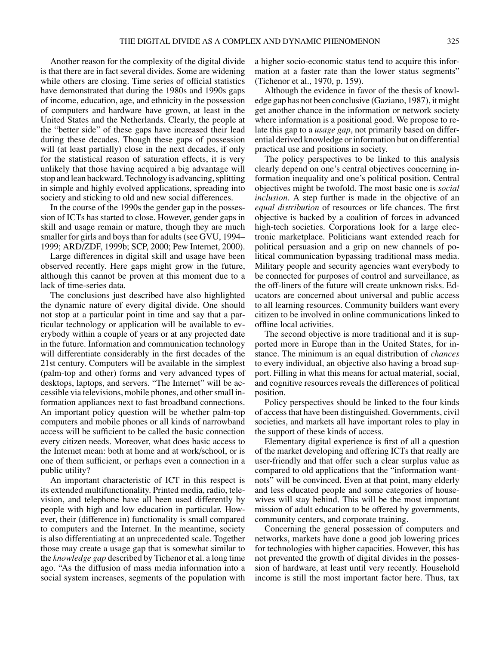Another reason for the complexity of the digital divide is that there are in fact several divides. Some are widening while others are closing. Time series of official statistics have demonstrated that during the 1980s and 1990s gaps of income, education, age, and ethnicity in the possession of computers and hardware have grown, at least in the United States and the Netherlands. Clearly, the people at the "better side" of these gaps have increased their lead during these decades. Though these gaps of possession will (at least partially) close in the next decades, if only for the statistical reason of saturation effects, it is very unlikely that those having acquired a big advantage will stop and lean backward. Technology is advancing, splitting in simple and highly evolved applications, spreading into society and sticking to old and new social differences.

In the course of the 1990s the gender gap in the possession of ICTs has started to close. However, gender gaps in skill and usage remain or mature, though they are much smaller for girls and boys than for adults (see GVU, 1994– 1999; ARD/ZDF, 1999b; SCP, 2000; Pew Internet, 2000).

Large differences in digital skill and usage have been observed recently. Here gaps might grow in the future, although this cannot be proven at this moment due to a lack of time-series data.

The conclusions just described have also highlighted the dynamic nature of every digital divide. One should not stop at a particular point in time and say that a particular technology or application will be available to everybody within a couple of years or at any projected date in the future. Information and communication technology will differentiate considerably in the first decades of the 21st century. Computers will be available in the simplest (palm-top and other) forms and very advanced types of desktops, laptops, and servers. "The Internet" will be accessible via televisions, mobile phones, and other small information appliances next to fast broadband connections. An important policy question will be whether palm-top computers and mobile phones or all kinds of narrowband access will be sufficient to be called the basic connection every citizen needs. Moreover, what does basic access to the Internet mean: both at home and at work/school, or is one of them sufficient, or perhaps even a connection in a public utility?

An important characteristic of ICT in this respect is its extended multifunctionality. Printed media, radio, television, and telephone have all been used differently by people with high and low education in particular. However, their (difference in) functionality is small compared to computers and the Internet. In the meantime, society is also differentiating at an unprecedented scale. Together those may create a usage gap that is somewhat similar to the *knowledge gap* described by Tichenor et al. a long time ago. "As the diffusion of mass media information into a social system increases, segments of the population with

a higher socio-economic status tend to acquire this information at a faster rate than the lower status segments" (Tichenor et al., 1970, p. 159).

Although the evidence in favor of the thesis of knowledge gap has not been conclusive (Gaziano, 1987), it might get another chance in the information or network society where information is a positional good. We propose to relate this gap to a *usage gap*, not primarily based on differential derived knowledge or information but on differential practical use and positions in society.

The policy perspectives to be linked to this analysis clearly depend on one's central objectives concerning information inequality and one's political position. Central objectives might be twofold. The most basic one is *social inclusion*. A step further is made in the objective of an *equal distribution* of resources or life chances. The first objective is backed by a coalition of forces in advanced high-tech societies. Corporations look for a large electronic marketplace. Politicians want extended reach for political persuasion and a grip on new channels of political communication bypassing traditional mass media. Military people and security agencies want everybody to be connected for purposes of control and surveillance, as the off-liners of the future will create unknown risks. Educators are concerned about universal and public access to all learning resources. Community builders want every citizen to be involved in online communications linked to offline local activities.

The second objective is more traditional and it is supported more in Europe than in the United States, for instance. The minimum is an equal distribution of *chances* to every individual, an objective also having a broad support. Filling in what this means for actual material, social, and cognitive resources reveals the differences of political position.

Policy perspectives should be linked to the four kinds of access that have been distinguished. Governments, civil societies, and markets all have important roles to play in the support of these kinds of access.

Elementary digital experience is first of all a question of the market developing and offering ICTs that really are user-friendly and that offer such a clear surplus value as compared to old applications that the "information wantnots" will be convinced. Even at that point, many elderly and less educated people and some categories of housewives will stay behind. This will be the most important mission of adult education to be offered by governments, community centers, and corporate training.

Concerning the general possession of computers and networks, markets have done a good job lowering prices for technologies with higher capacities. However, this has not prevented the growth of digital divides in the possession of hardware, at least until very recently. Household income is still the most important factor here. Thus, tax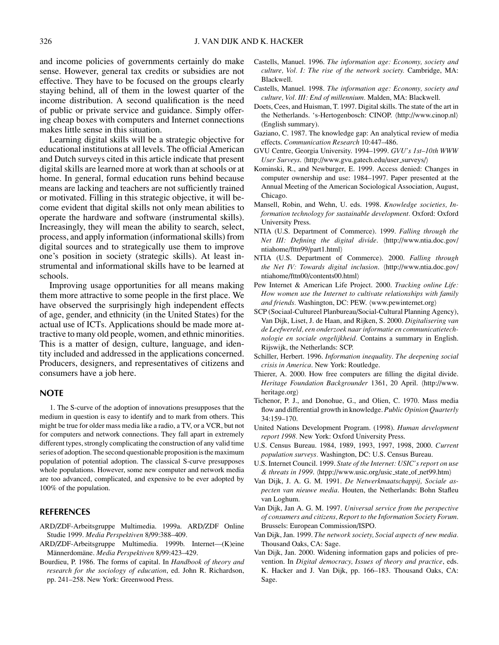and income policies of governments certainly do make sense. However, general tax credits or subsidies are not effective. They have to be focused on the groups clearly staying behind, all of them in the lowest quarter of the income distribution. A second qualification is the need of public or private service and guidance. Simply offering cheap boxes with computers and Internet connections makes little sense in this situation.

Learning digital skills will be a strategic objective for educational institutions at all levels. The official American and Dutch surveys cited in this article indicate that present digital skills are learned more at work than at schools or at home. In general, formal education runs behind because means are lacking and teachers are not sufficiently trained or motivated. Filling in this strategic objective, it will become evident that digital skills not only mean abilities to operate the hardware and software (instrumental skills). Increasingly, they will mean the ability to search, select, process, and apply information (informational skills) from digital sources and to strategically use them to improve one's position in society (strategic skills). At least instrumental and informational skills have to be learned at schools.

Improving usage opportunities for all means making them more attractive to some people in the first place. We have observed the surprisingly high independent effects of age, gender, and ethnicity (in the United States) for the actual use of ICTs. Applications should be made more attractive to many old people, women, and ethnic minorities. This is a matter of design, culture, language, and identity included and addressed in the applications concerned. Producers, designers, and representatives of citizens and consumers have a job here.

### **NOTE**

1. The S-curve of the adoption of innovations presupposes that the medium in question is easy to identify and to mark from others. This might be true for older mass media like a radio, a TV, or a VCR, but not for computers and network connections. They fall apart in extremely different types, strongly complicating the construction of any valid time series of adoption. The second questionable proposition is the maximum population of potential adoption. The classical S-curve presupposes whole populations. However, some new computer and network media are too advanced, complicated, and expensive to be ever adopted by 100% of the population.

### **REFERENCES**

- ARD/ZDF-Arbeitsgruppe Multimedia. 1999a. ARD/ZDF Online Studie 1999. *Media Perspektiven* 8/99:388–409.
- ARD/ZDF-Arbeitsgruppe Multimedia. 1999b. Internet—(K)eine Männerdomäne. Media Perspektiven 8/99:423-429.
- Bourdieu, P. 1986. The forms of capital. In *Handbook of theory and research for the sociology of education*, ed. John R. Richardson, pp. 241–258. New York: Greenwood Press.
- Castells, Manuel. 1996. *The information age: Economy, society and culture, Vol. I: The rise of the network society.* Cambridge, MA: Blackwell.
- Castells, Manuel. 1998. *The information age: Economy, society and culture, Vol. III: End of millennium.* Malden, MA: Blackwell.
- Doets, Cees, and Huisman, T. 1997. Digital skills. The state of the art in the Netherlands. 's-Hertogenbosch: CINOP. (http://www.cinop.nl) (English summary).
- Gaziano, C. 1987. The knowledge gap: An analytical review of media effects. *Communication Research* 10:447–486.
- GVU Centre, Georgia University. 1994–1999. *GVU's 1st–10th WWW User Surveys.* (http://www.gvu.gatech.edu/user\_surveys/)
- Kominski, R., and Newburger, E. 1999. Access denied: Changes in computer ownership and use: 1984–1997. Paper presented at the Annual Meeting of the American Sociological Association, August, Chicago.
- Mansell, Robin, and Wehn, U. eds. 1998. *Knowledge societies, Information technology for sustainable development.* Oxford: Oxford University Press.
- NTIA (U.S. Department of Commerce). 1999. *Falling through the Net III: Defining the digital divide*. http://www.ntia.doc.gov/ ntiahome/fttn99/part1.html
- NTIA (U.S. Department of Commerce). 2000. *Falling through the Net IV: Towards digital inclusion*. http://www.ntia.doc.gov/ ntiahome/fttn00/contents00.html
- Pew Internet & American Life Project. 2000. *Tracking online Life: How women use the Internet to cultivate relationships with family and friends.* Washington, DC: PEW. (www.pewinternet.org)
- SCP (Sociaal-Cultureel Planbureau/Social-Cultural Planning Agency), Van Dijk, Liset, J. de Haan, and Rijken, S. 2000. *Digitalisering van de Leefwereld, een onderzoek naar informatie en communicatietechnologie en sociale ongelijkheid.* Contains a summary in English. Rijswijk, the Netherlands: SCP.
- Schiller, Herbert. 1996. *Information inequality*. *The deepening social crisis in America*. New York: Routledge.
- Thierer, A. 2000. How free computers are filling the digital divide. Heritage Foundation Backgrounder 1361, 20 April. (http://www. heritage.org
- Tichenor, P. J., and Donohue, G., and Olien, C. 1970. Mass media flow and differential growth in knowledge. *Public Opinion Quarterly* 34:159–170.
- United Nations Development Program. (1998). *Human development report 1998.* New York: Oxford University Press.
- U.S. Census Bureau. 1984, 1989, 1993, 1997, 1998, 2000. *Current population surveys.* Washington, DC: U.S. Census Bureau.
- U.S. Internet Council. 1999. *State of the Internet: USIC's report on use & threats in 1999*. htpp://www.usic.org/usic state of net99.htm
- Van Dijk, J. A. G. M. 1991. *De Netwerkmaatschappij, Sociale aspecten van nieuwe media*. Houten, the Netherlands: Bohn Stafleu van Loghum.
- Van Dijk, Jan A. G. M. 1997. *Universal service from the perspective of consumers and citizens, Report to the Information Society Forum*. Brussels: European Commission/ISPO.
- Van Dijk, Jan. 1999. *The network society, Social aspects of new media.* Thousand Oaks, CA: Sage.
- Van Dijk, Jan. 2000. Widening information gaps and policies of prevention. In *Digital democracy, Issues of theory and practice*, eds. K. Hacker and J. Van Dijk, pp. 166–183. Thousand Oaks, CA: Sage.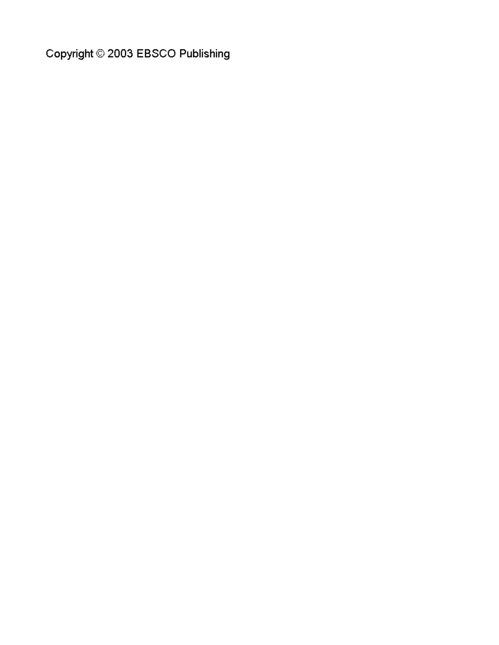Copyright © 2003 EBSCO Publishing